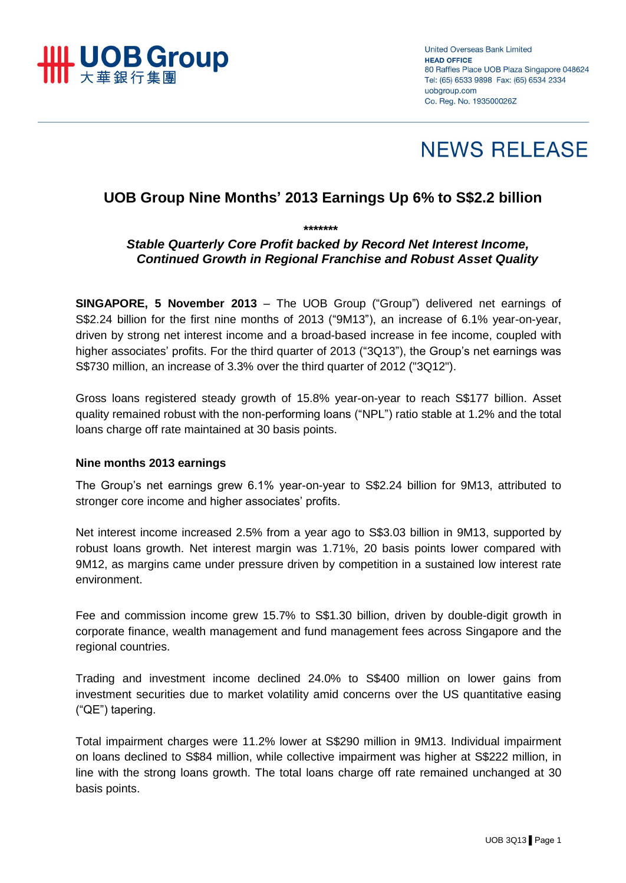

**United Overseas Bank Limited HEAD OFFICE** 80 Raffles Place UOB Plaza Singapore 048624 Tel: (65) 6533 9898 Fax: (65) 6534 2334 uobgroup.com Co. Reg. No. 193500026Z

# **NEWS RELEASE**

# **UOB Group Nine Months' 2013 Earnings Up 6% to S\$2.2 billion**

*\*\*\*\*\*\*\**

# *Stable Quarterly Core Profit backed by Record Net Interest Income, Continued Growth in Regional Franchise and Robust Asset Quality*

**SINGAPORE, 5 November 2013** – The UOB Group ("Group") delivered net earnings of S\$2.24 billion for the first nine months of 2013 ("9M13"), an increase of 6.1% year-on-year, driven by strong net interest income and a broad-based increase in fee income, coupled with higher associates' profits. For the third quarter of 2013 ("3Q13"), the Group's net earnings was S\$730 million, an increase of 3.3% over the third quarter of 2012 ("3Q12").

Gross loans registered steady growth of 15.8% year-on-year to reach S\$177 billion. Asset quality remained robust with the non-performing loans ("NPL") ratio stable at 1.2% and the total loans charge off rate maintained at 30 basis points.

#### **Nine months 2013 earnings**

The Group's net earnings grew 6.1% year-on-year to S\$2.24 billion for 9M13, attributed to stronger core income and higher associates' profits.

Net interest income increased 2.5% from a year ago to S\$3.03 billion in 9M13, supported by robust loans growth. Net interest margin was 1.71%, 20 basis points lower compared with 9M12, as margins came under pressure driven by competition in a sustained low interest rate environment.

Fee and commission income grew 15.7% to S\$1.30 billion, driven by double-digit growth in corporate finance, wealth management and fund management fees across Singapore and the regional countries.

Trading and investment income declined 24.0% to S\$400 million on lower gains from investment securities due to market volatility amid concerns over the US quantitative easing ("QE") tapering.

Total impairment charges were 11.2% lower at S\$290 million in 9M13. Individual impairment on loans declined to S\$84 million, while collective impairment was higher at S\$222 million, in line with the strong loans growth. The total loans charge off rate remained unchanged at 30 basis points.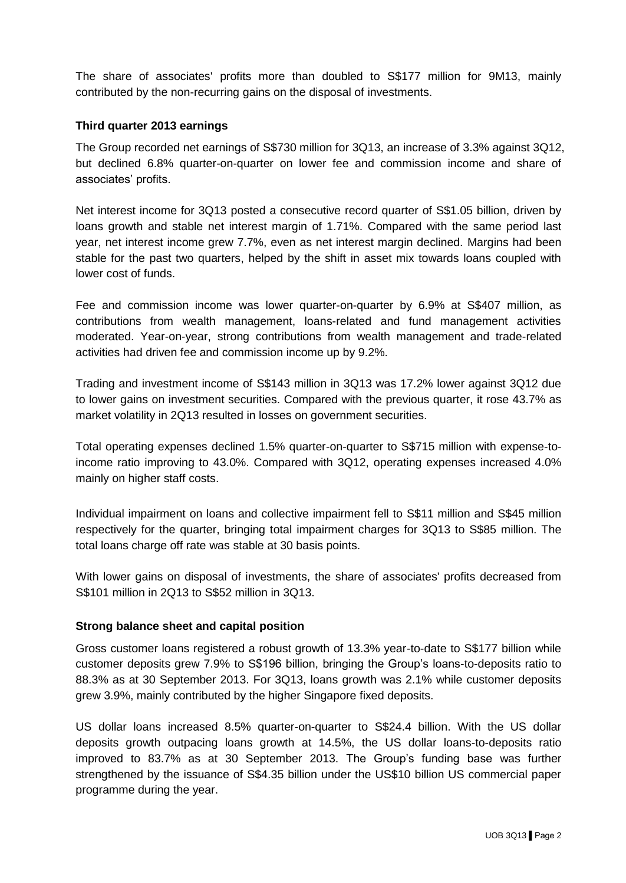The share of associates' profits more than doubled to S\$177 million for 9M13, mainly contributed by the non-recurring gains on the disposal of investments.

#### **Third quarter 2013 earnings**

The Group recorded net earnings of S\$730 million for 3Q13, an increase of 3.3% against 3Q12, but declined 6.8% quarter-on-quarter on lower fee and commission income and share of associates' profits.

Net interest income for 3Q13 posted a consecutive record quarter of S\$1.05 billion, driven by loans growth and stable net interest margin of 1.71%. Compared with the same period last year, net interest income grew 7.7%, even as net interest margin declined. Margins had been stable for the past two quarters, helped by the shift in asset mix towards loans coupled with lower cost of funds.

Fee and commission income was lower quarter-on-quarter by 6.9% at S\$407 million, as contributions from wealth management, loans-related and fund management activities moderated. Year-on-year, strong contributions from wealth management and trade-related activities had driven fee and commission income up by 9.2%.

Trading and investment income of S\$143 million in 3Q13 was 17.2% lower against 3Q12 due to lower gains on investment securities. Compared with the previous quarter, it rose 43.7% as market volatility in 2Q13 resulted in losses on government securities.

Total operating expenses declined 1.5% quarter-on-quarter to S\$715 million with expense-toincome ratio improving to 43.0%. Compared with 3Q12, operating expenses increased 4.0% mainly on higher staff costs.

Individual impairment on loans and collective impairment fell to S\$11 million and S\$45 million respectively for the quarter, bringing total impairment charges for 3Q13 to S\$85 million. The total loans charge off rate was stable at 30 basis points.

With lower gains on disposal of investments, the share of associates' profits decreased from S\$101 million in 2Q13 to S\$52 million in 3Q13.

#### **Strong balance sheet and capital position**

Gross customer loans registered a robust growth of 13.3% year-to-date to S\$177 billion while customer deposits grew 7.9% to S\$196 billion, bringing the Group's loans-to-deposits ratio to 88.3% as at 30 September 2013. For 3Q13, loans growth was 2.1% while customer deposits grew 3.9%, mainly contributed by the higher Singapore fixed deposits.

US dollar loans increased 8.5% quarter-on-quarter to S\$24.4 billion. With the US dollar deposits growth outpacing loans growth at 14.5%, the US dollar loans-to-deposits ratio improved to 83.7% as at 30 September 2013. The Group's funding base was further strengthened by the issuance of S\$4.35 billion under the US\$10 billion US commercial paper programme during the year.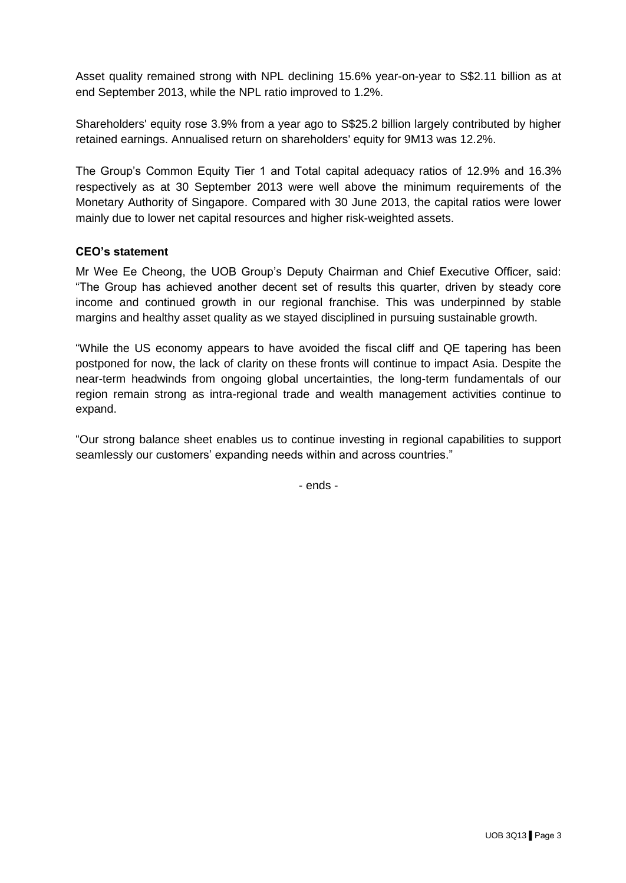Asset quality remained strong with NPL declining 15.6% year-on-year to S\$2.11 billion as at end September 2013, while the NPL ratio improved to 1.2%.

Shareholders' equity rose 3.9% from a year ago to S\$25.2 billion largely contributed by higher retained earnings. Annualised return on shareholders' equity for 9M13 was 12.2%.

The Group's Common Equity Tier 1 and Total capital adequacy ratios of 12.9% and 16.3% respectively as at 30 September 2013 were well above the minimum requirements of the Monetary Authority of Singapore. Compared with 30 June 2013, the capital ratios were lower mainly due to lower net capital resources and higher risk-weighted assets.

## **CEO's statement**

Mr Wee Ee Cheong, the UOB Group's Deputy Chairman and Chief Executive Officer, said: "The Group has achieved another decent set of results this quarter, driven by steady core income and continued growth in our regional franchise. This was underpinned by stable margins and healthy asset quality as we stayed disciplined in pursuing sustainable growth.

"While the US economy appears to have avoided the fiscal cliff and QE tapering has been postponed for now, the lack of clarity on these fronts will continue to impact Asia. Despite the near-term headwinds from ongoing global uncertainties, the long-term fundamentals of our region remain strong as intra-regional trade and wealth management activities continue to expand.

"Our strong balance sheet enables us to continue investing in regional capabilities to support seamlessly our customers' expanding needs within and across countries."

- ends -